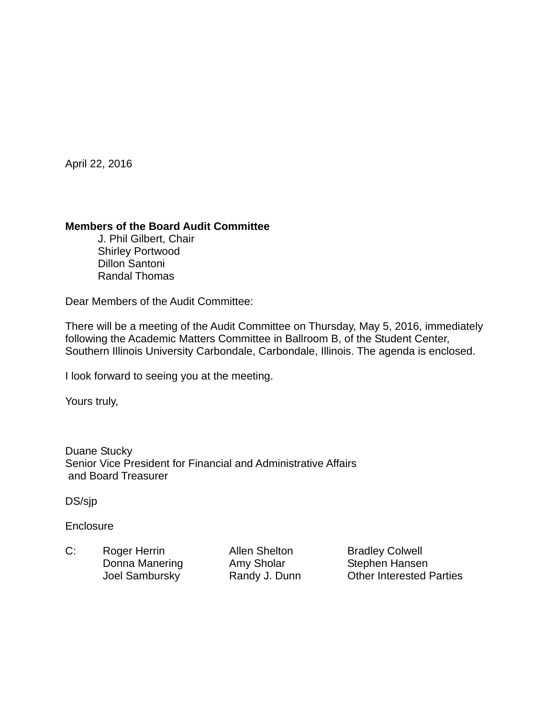April 22, 2016

## **Members of the Board Audit Committee**

 J. Phil Gilbert, Chair Shirley Portwood Dillon Santoni Randal Thomas

Dear Members of the Audit Committee:

There will be a meeting of the Audit Committee on Thursday, May 5, 2016, immediately following the Academic Matters Committee in Ballroom B, of the Student Center, Southern Illinois University Carbondale, Carbondale, Illinois. The agenda is enclosed.

I look forward to seeing you at the meeting.

Yours truly,

Duane Stucky Senior Vice President for Financial and Administrative Affairs and Board Treasurer

DS/sjp

**Enclosure** 

C: Roger Herrin Allen Shelton Bradley Colwell Donna Manering Amy Sholar Stephen Hansen

Joel Sambursky **Randy J. Dunn** Other Interested Parties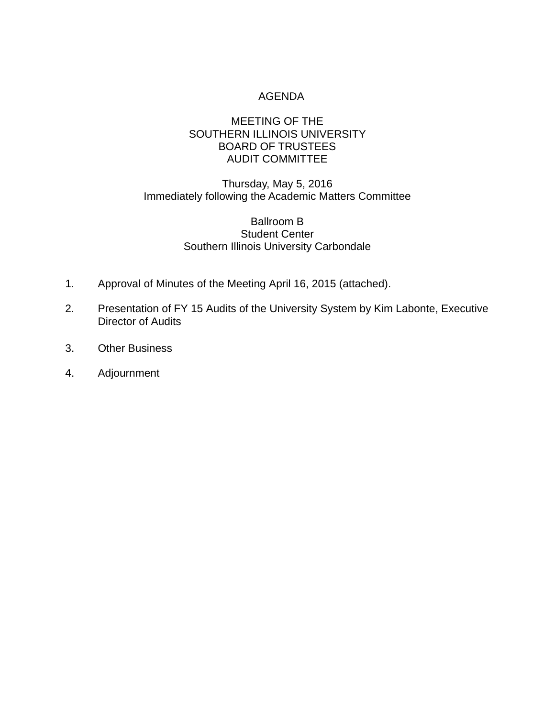# AGENDA

# MEETING OF THE SOUTHERN ILLINOIS UNIVERSITY BOARD OF TRUSTEES AUDIT COMMITTEE

# Thursday, May 5, 2016 Immediately following the Academic Matters Committee

### Ballroom B Student Center Southern Illinois University Carbondale

- 1. Approval of Minutes of the Meeting April 16, 2015 (attached).
- 2. Presentation of FY 15 Audits of the University System by Kim Labonte, Executive Director of Audits
- 3. Other Business
- 4. Adjournment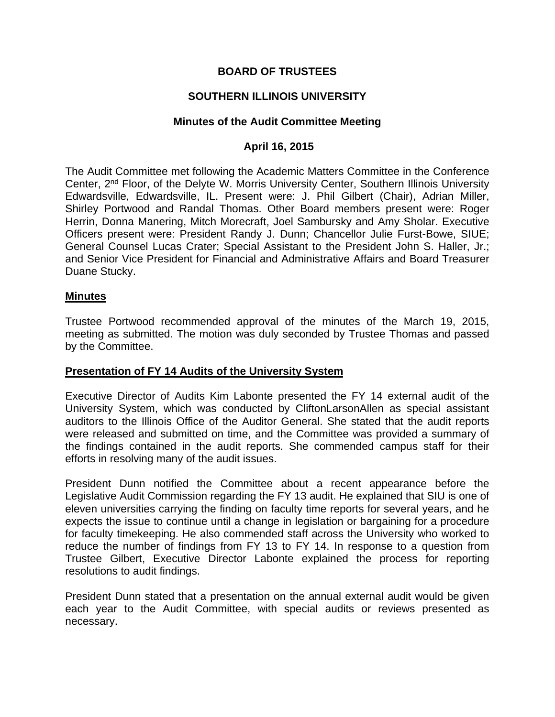# **BOARD OF TRUSTEES**

# **SOUTHERN ILLINOIS UNIVERSITY**

#### **Minutes of the Audit Committee Meeting**

## **April 16, 2015**

The Audit Committee met following the Academic Matters Committee in the Conference Center, 2nd Floor, of the Delyte W. Morris University Center, Southern Illinois University Edwardsville, Edwardsville, IL. Present were: J. Phil Gilbert (Chair), Adrian Miller, Shirley Portwood and Randal Thomas. Other Board members present were: Roger Herrin, Donna Manering, Mitch Morecraft, Joel Sambursky and Amy Sholar. Executive Officers present were: President Randy J. Dunn; Chancellor Julie Furst-Bowe, SIUE; General Counsel Lucas Crater; Special Assistant to the President John S. Haller, Jr.; and Senior Vice President for Financial and Administrative Affairs and Board Treasurer Duane Stucky.

#### **Minutes**

Trustee Portwood recommended approval of the minutes of the March 19, 2015, meeting as submitted. The motion was duly seconded by Trustee Thomas and passed by the Committee.

#### **Presentation of FY 14 Audits of the University System**

Executive Director of Audits Kim Labonte presented the FY 14 external audit of the University System, which was conducted by CliftonLarsonAllen as special assistant auditors to the Illinois Office of the Auditor General. She stated that the audit reports were released and submitted on time, and the Committee was provided a summary of the findings contained in the audit reports. She commended campus staff for their efforts in resolving many of the audit issues.

President Dunn notified the Committee about a recent appearance before the Legislative Audit Commission regarding the FY 13 audit. He explained that SIU is one of eleven universities carrying the finding on faculty time reports for several years, and he expects the issue to continue until a change in legislation or bargaining for a procedure for faculty timekeeping. He also commended staff across the University who worked to reduce the number of findings from FY 13 to FY 14. In response to a question from Trustee Gilbert, Executive Director Labonte explained the process for reporting resolutions to audit findings.

President Dunn stated that a presentation on the annual external audit would be given each year to the Audit Committee, with special audits or reviews presented as necessary.